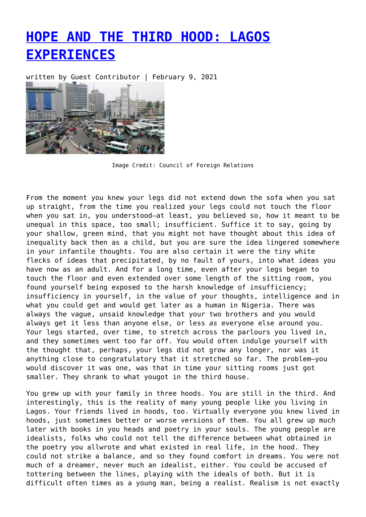## **[HOPE AND THE THIRD HOOD: LAGOS](https://entropymag.org/hope-and-the-third-hood-lagos-experiences/) [EXPERIENCES](https://entropymag.org/hope-and-the-third-hood-lagos-experiences/)**

written by Guest Contributor | February 9, 2021



Image Credit: Council of Foreign Relations

From the moment you knew your legs did not extend down the sofa when you sat up straight, from the time you realized your legs could not touch the floor when you sat in, you understood—at least, you believed so, how it meant to be unequal in this space, too small; insufficient. Suffice it to say, going by your shallow, green mind, that you might not have thought about this idea of inequality back then as a child, but you are sure the idea lingered somewhere in your infantile thoughts. You are also certain it were the tiny white flecks of ideas that precipitated, by no fault of yours, into what ideas you have now as an adult. And for a long time, even after your legs began to touch the floor and even extended over some length of the sitting room, you found yourself being exposed to the harsh knowledge of insufficiency; insufficiency in yourself, in the value of your thoughts, intelligence and in what you could get and would get later as a human in Nigeria. There was always the vague, unsaid knowledge that your two brothers and you would always get it less than anyone else, or less *as* everyone else around you. Your legs started, over time, to stretch across the parlours you lived in, and they sometimes went too far off. You would often indulge yourself with the thought that, perhaps, your legs did not grow any longer, nor was it anything close to congratulatory that it stretched so far. The problem—you would discover it was one, was that in time your sitting rooms just got smaller. They shrank to what yougot in the third house.

You grew up with your family in three hoods. You are still in the third. And interestingly, this is the reality of many young people like you living in Lagos. Your friends lived in hoods, too. Virtually everyone you knew lived in hoods, just sometimes better or worse versions of them. You all grew up much later with books in you heads and poetry in your souls. The young people are idealists, folks who could not tell the difference between what obtained in the poetry you allwrote and what existed in real life, in the hood. They could not strike a balance, and so they found comfort in dreams. You were not much of a dreamer, never much an idealist, either. You could be accused of tottering between the lines, playing with the ideals of both. But it is difficult often times as a young man, being a realist. Realism is not exactly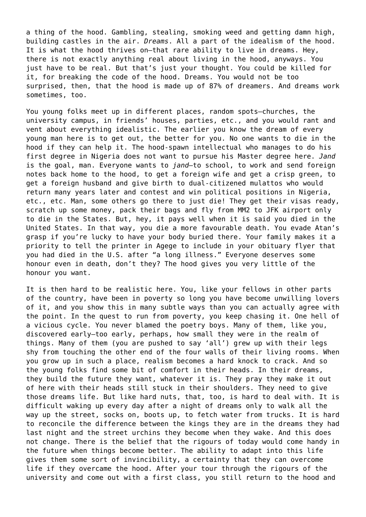a thing of the hood. Gambling, stealing, smoking weed and getting damn high, building castles in the air. *Dreams*. All a part of the idealism of the hood. It is what the hood thrives on—that rare ability to live in dreams. Hey, there is not exactly anything real about living in the hood, anyways. You just have to be real. But that's just your thought. You could be killed for it, for breaking the code of the hood. Dreams. You would not be too surprised, then, that the hood is made up of 87% of dreamers. And dreams work sometimes, too.

You young folks meet up in different places, random spots—churches, the university campus, in friends' houses, parties, etc., and you would rant and vent about everything idealistic. The earlier you know the dream of every young man here is to get out, the better for you. No one wants to die in the hood if they can help it. The hood-spawn intellectual who manages to do his first degree in Nigeria does not want to pursue his Master degree here. *Jand* is the goal, man. Everyone wants to *jand—*to school, to work and send foreign notes back home to the hood, to get a foreign wife and get a crisp green, to get a foreign husband and give birth to dual-citizened mulattos who would return many years later and contest and win political positions in Nigeria, etc., etc. Man, some others go there to just die! They get their visas ready, scratch up some money, pack their bags and fly from MM2 to JFK airport only to die in the States. But, hey, it pays well when it is said you died in the United States. In that way, you die a more favourable death. You evade Atan's grasp if you're lucky to have your body buried there. Your family makes it a priority to tell the printer in Agege to include in your obituary flyer that you had died in the U.S. after "a long illness." Everyone deserves some honour even in death, don't they? The hood gives you very little of the honour you want.

It is then hard to be realistic here. You, like your fellows in other parts of the country, have been in poverty so long you have become unwilling lovers of it, and you show this in many subtle ways than you can actually agree with the point. In the quest to run from poverty, you keep chasing it. One hell of a vicious cycle. You never blamed the poetry boys. Many of them, like you, discovered early—too early, perhaps, how small they were in the realm of things. Many of them (you are pushed to say 'all') grew up with their legs shy from touching the other end of the four walls of their living rooms. When you grow up in such a place, realism becomes a hard knock to crack. And so the young folks find some bit of comfort in their heads. In their dreams, they build the future they want, whatever it is. They pray they make it out of here with their heads still stuck in their shoulders. They need to give those dreams life. But like hard nuts, that, too, is hard to deal with. It is difficult waking up every day after a night of dreams only to walk all the way up the street, socks on, boots up, to fetch water from trucks. It is hard to reconcile the difference between the kings they are in the dreams they had last night and the street urchins they become when they wake. And this does not change. There is the belief that the rigours of today would come handy in the future when things become better. The ability to adapt into this life gives them some sort of invincibility, a certainty that they can overcome life if they overcame the hood. After your tour through the rigours of the university and come out with a first class, you still return to the hood and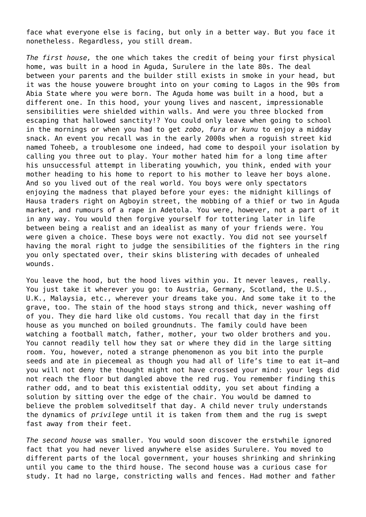face what everyone else is facing, but only in a better way. But you face it nonetheless. Regardless, you still dream.

*The first house,* the one which takes the credit of being your first physical home, was built in a hood in Aguda, Surulere in the late 80s. The deal between your parents and the builder still exists in smoke in your head, but it was the house youwere brought into on your coming to Lagos in the 90s from Abia State where you were born. The Aguda home was built in a hood, but a different one. In this hood, your young lives and nascent, impressionable sensibilities were shielded within walls. And were you three blocked from escaping that hallowed sanctity!? You could only leave when going to school in the mornings or when you had to get *zobo, fura* or *kunu* to enjoy a midday snack. An event you recall was in the early 2000s when a roguish street kid named Toheeb, a troublesome one indeed, had come to despoil your isolation by calling you three out to play. Your mother hated him for a long time after his unsuccessful attempt in liberating youwhich, you think, ended with your mother heading to his home to report to his mother to leave her boys alone. And so you lived out of the real world. You boys were only spectators enjoying the madness that played before your eyes: the midnight killings of Hausa traders right on Agboyin street, the mobbing of a thief or two in Aguda market, and rumours of a rape in Adetola. You were, however, not a part of it in any way. You would then forgive yourself for tottering later in life between being a realist and an idealist as many of your friends were. You were given a choice. These boys were not exactly. You did not see yourself having the moral right to judge the sensibilities of the fighters in the ring you only spectated over, their skins blistering with decades of unhealed wounds.

You leave the hood, but the hood lives within you. It never leaves, really. You just take it wherever you go: to Austria, Germany, Scotland, the U.S., U.K., Malaysia, etc., wherever your dreams take you. And some take it to the grave, too. The stain of the hood stays strong and thick, never washing off of you. They die hard like old customs. You recall that day in the first house as you munched on boiled groundnuts. The family could have been watching a football match, father, mother, your two older brothers and you. You cannot readily tell how they sat or where they did in the large sitting room. You, however, noted a strange phenomenon as you bit into the purple seeds and ate in piecemeal as though you had all of life's time to eat it—and you will not deny the thought might not have crossed your mind: your legs did not reach the floor but dangled above the red rug. You remember finding this rather odd, and to beat this existential oddity, you set about finding a solution by sitting over the edge of the chair. You would be damned to believe the problem solveditself that day. A child never truly understands the dynamics of *privilege* until it is taken from them and the rug is swept fast away from their feet.

*The second house* was smaller. You would soon discover the erstwhile ignored fact that you had never lived anywhere else asides Surulere. You moved to different parts of the local government, your houses shrinking and shrinking until you came to the third house. The second house was a curious case for study. It had no large, constricting walls and fences. Had mother and father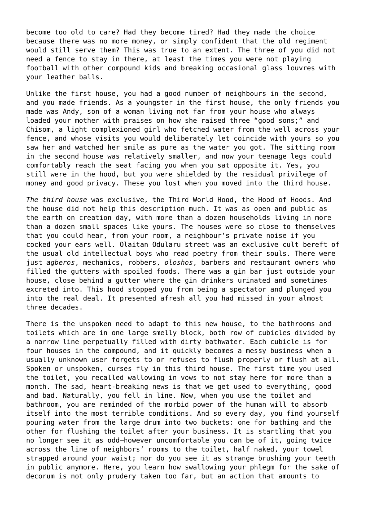become too old to care? Had they become tired? Had they made the choice because there was no more money, or simply confident that the old regiment would still serve them? This was true to an extent. The three of you did not need a fence to stay in there, at least the times you were not playing football with other compound kids and breaking occasional glass louvres with your leather balls.

Unlike the first house, you had a good number of neighbours in the second, and you made friends. As a youngster in the first house, the only friends you made was Andy, son of a woman living not far from your house who always loaded your mother with praises on how she raised three "good sons;" and Chisom, a light complexioned girl who fetched water from the well across your fence, and whose visits you would deliberately let coincide with yours so you saw her and watched her smile as pure as the water you got. The sitting room in the second house was relatively smaller, and now your teenage legs could comfortably reach the seat facing you when you sat opposite it. Yes, you still were in the hood, but you were shielded by the residual privilege of money and good privacy. These you lost when you moved into the third house.

*The third house* was exclusive, the Third World Hood, the Hood of Hoods. And the house did not help this description much. It was as open and public as the earth on creation day, with more than a dozen households living in more than a dozen small spaces like yours. The houses were so close to themselves that you could hear, from your room, a neighbour's private noise if you cocked your ears well. Olaitan Odularu street was an exclusive cult bereft of the usual old intellectual boys who read poetry from their souls. There were just *agberos*, mechanics, robbers, *oloshos*, barbers and restaurant owners who filled the gutters with spoiled foods. There was a gin bar just outside your house, close behind a gutter where the gin drinkers urinated and sometimes excreted into. This hood stopped you from being a spectator and plunged you into the real deal. It presented afresh all you had missed in your almost three decades.

There is the unspoken need to adapt to this new house, to the bathrooms and toilets which are in one large smelly block, both row of cubicles divided by a narrow line perpetually filled with dirty bathwater. Each cubicle is for four houses in the compound, and it quickly becomes a messy business when a usually unknown user forgets to or refuses to flush properly or flush at all. Spoken or unspoken, curses fly in this third house. The first time you used the toilet, you recalled wallowing in vows to not stay here for more than a month. The sad, heart-breaking news is that we get used to everything, good and bad. Naturally, you fell in line. Now, when you use the toilet and bathroom, you are reminded of the morbid power of the human will to absorb itself into the most terrible conditions. And so every day, you find yourself pouring water from the large drum into two buckets: one for bathing and the other for flushing the toilet after your business. It is startling that you no longer see it as odd—however uncomfortable you can be of it, going twice across the line of neighbors' rooms to the toilet, half naked, your towel strapped around your waist; nor do you see it as strange brushing your teeth in public anymore. Here, you learn how swallowing your phlegm for the sake of decorum is not only prudery taken too far, but an action that amounts to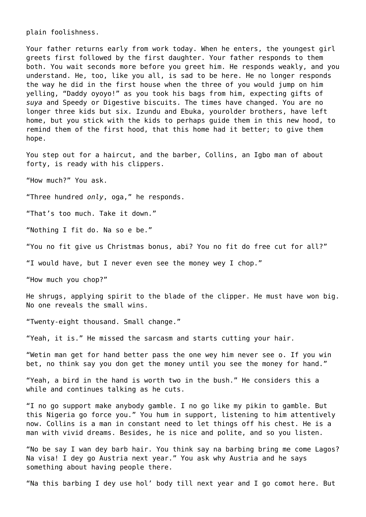plain foolishness.

Your father returns early from work today. When he enters, the youngest girl greets first followed by the first daughter. Your father responds to them both. You wait seconds more before you greet him. He responds weakly, and you understand. He, too, like you all, is sad to be here. He no longer responds the way he did in the first house when the three of you would jump on him yelling, "Daddy oyoyo!" as you took his bags from him, expecting gifts of *suya* and Speedy or Digestive biscuits. The times have changed. You are no longer three kids but six. Izundu and Ebuka, yourolder brothers, have left home, but you stick with the kids to perhaps guide them in this new hood, to remind them of the first hood, that this home had it better; to give them hope.

You step out for a haircut, and the barber, Collins, an Igbo man of about forty, is ready with his clippers.

"How much?" You ask.

"Three hundred *only*, oga," he responds.

"That's too much. Take it down."

"Nothing I fit do. Na so e be."

"You no fit give us Christmas bonus, abi? You no fit do free cut for all?"

"I would have, but I never even see the money wey I chop."

"How much you chop?"

He shrugs, applying spirit to the blade of the clipper. He must have won big. No one reveals the small wins.

"Twenty-eight thousand. Small change."

"Yeah, it is." He missed the sarcasm and starts cutting your hair.

"Wetin man get for hand better pass the one wey him never see o. If you win bet, no think say you don get the money until you see the money for hand."

"Yeah, a bird in the hand is worth two in the bush." He considers this a while and continues talking as he cuts.

"I no go support make anybody gamble. I no go like my pikin to gamble. But this Nigeria go force you." You hum in support, listening to him attentively now. Collins is a man in constant need to let things off his chest. He is a man with vivid dreams. Besides, he is nice and polite, and so you listen.

"No be say I wan dey barb hair. You think say na barbing bring me come Lagos? Na visa! I dey go Austria next year." You ask why Austria and he says something about having people there.

"Na this barbing I dey use hol' body till next year and I go comot here. But